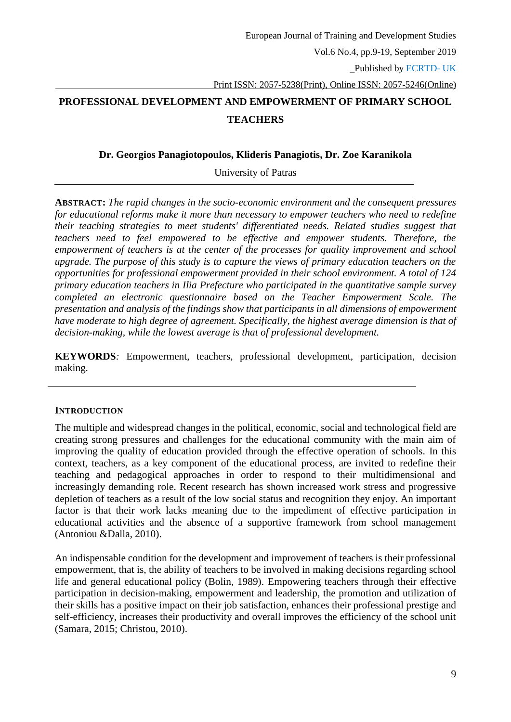# **PROFESSIONAL DEVELOPMENT AND EMPOWERMENT OF PRIMARY SCHOOL TEACHERS**

### **Dr. Georgios Panagiotopoulos, Klideris Panagiotis, Dr. Zoe Karanikola**

University of Patras

**ABSTRACT:** *The rapid changes in the socio-economic environment and the consequent pressures for educational reforms make it more than necessary to empower teachers who need to redefine their teaching strategies to meet students' differentiated needs. Related studies suggest that teachers need to feel empowered to be effective and empower students. Therefore, the empowerment of teachers is at the center of the processes for quality improvement and school upgrade. The purpose of this study is to capture the views of primary education teachers on the opportunities for professional empowerment provided in their school environment. A total of 124 primary education teachers in Ilia Prefecture who participated in the quantitative sample survey completed an electronic questionnaire based on the Teacher Empowerment Scale. The presentation and analysis of the findings show that participants in all dimensions of empowerment have moderate to high degree of agreement. Specifically, the highest average dimension is that of decision-making, while the lowest average is that of professional development.*

**KEYWORDS***:* Empowerment, teachers, professional development, participation, decision making.

# **INTRODUCTION**

The multiple and widespread changes in the political, economic, social and technological field are creating strong pressures and challenges for the educational community with the main aim of improving the quality of education provided through the effective operation of schools. In this context, teachers, as a key component of the educational process, are invited to redefine their teaching and pedagogical approaches in order to respond to their multidimensional and increasingly demanding role. Recent research has shown increased work stress and progressive depletion of teachers as a result of the low social status and recognition they enjoy. An important factor is that their work lacks meaning due to the impediment of effective participation in educational activities and the absence of a supportive framework from school management (Antoniou &Dalla, 2010).

An indispensable condition for the development and improvement of teachers is their professional empowerment, that is, the ability of teachers to be involved in making decisions regarding school life and general educational policy (Bolin, 1989). Empowering teachers through their effective participation in decision-making, empowerment and leadership, the promotion and utilization of their skills has a positive impact on their job satisfaction, enhances their professional prestige and self-efficiency, increases their productivity and overall improves the efficiency of the school unit (Samara, 2015; Christou, 2010).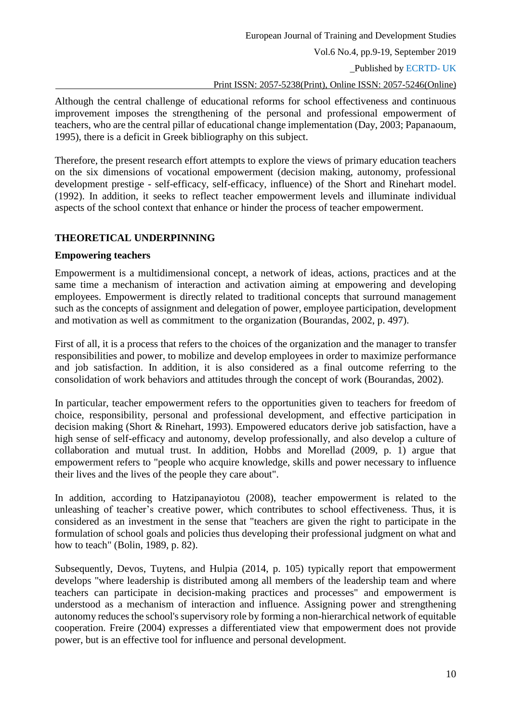Although the central challenge of educational reforms for school effectiveness and continuous improvement imposes the strengthening of the personal and professional empowerment of teachers, who are the central pillar of educational change implementation (Day, 2003; Papanaoum, 1995), there is a deficit in Greek bibliography on this subject.

Therefore, the present research effort attempts to explore the views of primary education teachers on the six dimensions of vocational empowerment (decision making, autonomy, professional development prestige - self-efficacy, self-efficacy, influence) of the Short and Rinehart model. (1992). In addition, it seeks to reflect teacher empowerment levels and illuminate individual aspects of the school context that enhance or hinder the process of teacher empowerment.

# **THEORETICAL UNDERPINNING**

# **Empowering teachers**

Empowerment is a multidimensional concept, a network of ideas, actions, practices and at the same time a mechanism of interaction and activation aiming at empowering and developing employees. Empowerment is directly related to traditional concepts that surround management such as the concepts of assignment and delegation of power, employee participation, development and motivation as well as commitment to the organization (Bourandas, 2002, p. 497).

First of all, it is a process that refers to the choices of the organization and the manager to transfer responsibilities and power, to mobilize and develop employees in order to maximize performance and job satisfaction. In addition, it is also considered as a final outcome referring to the consolidation of work behaviors and attitudes through the concept of work (Bourandas, 2002).

In particular, teacher empowerment refers to the opportunities given to teachers for freedom of choice, responsibility, personal and professional development, and effective participation in decision making (Short & Rinehart, 1993). Empowered educators derive job satisfaction, have a high sense of self-efficacy and autonomy, develop professionally, and also develop a culture of collaboration and mutual trust. In addition, Hobbs and Morellad (2009, p. 1) argue that empowerment refers to "people who acquire knowledge, skills and power necessary to influence their lives and the lives of the people they care about".

In addition, according to Hatzipanayiotou (2008), teacher empowerment is related to the unleashing of teacher's creative power, which contributes to school effectiveness. Thus, it is considered as an investment in the sense that "teachers are given the right to participate in the formulation of school goals and policies thus developing their professional judgment on what and how to teach" (Bolin, 1989, p. 82).

Subsequently, Devos, Tuytens, and Hulpia (2014, p. 105) typically report that empowerment develops "where leadership is distributed among all members of the leadership team and where teachers can participate in decision-making practices and processes" and empowerment is understood as a mechanism of interaction and influence. Assigning power and strengthening autonomy reduces the school's supervisory role by forming a non-hierarchical network of equitable cooperation. Freire (2004) expresses a differentiated view that empowerment does not provide power, but is an effective tool for influence and personal development.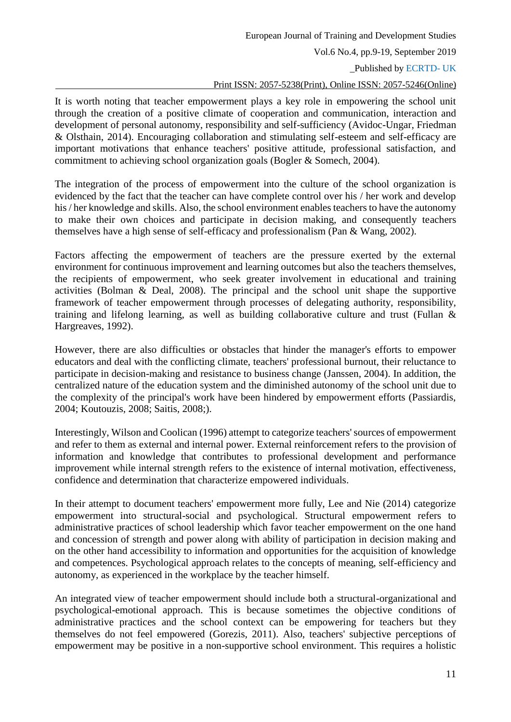# \_Published by ECRTD- UK

### Print ISSN: 2057-5238(Print), Online ISSN: 2057-5246(Online)

It is worth noting that teacher empowerment plays a key role in empowering the school unit through the creation of a positive climate of cooperation and communication, interaction and development of personal autonomy, responsibility and self-sufficiency (Avidoc-Ungar, Friedman & Olsthain, 2014). Encouraging collaboration and stimulating self-esteem and self-efficacy are important motivations that enhance teachers' positive attitude, professional satisfaction, and commitment to achieving school organization goals (Bogler & Somech, 2004).

The integration of the process of empowerment into the culture of the school organization is evidenced by the fact that the teacher can have complete control over his / her work and develop his / her knowledge and skills. Also, the school environment enables teachers to have the autonomy to make their own choices and participate in decision making, and consequently teachers themselves have a high sense of self-efficacy and professionalism (Pan & Wang, 2002).

Factors affecting the empowerment of teachers are the pressure exerted by the external environment for continuous improvement and learning outcomes but also the teachers themselves, the recipients of empowerment, who seek greater involvement in educational and training activities (Bolman & Deal, 2008). The principal and the school unit shape the supportive framework of teacher empowerment through processes of delegating authority, responsibility, training and lifelong learning, as well as building collaborative culture and trust (Fullan & Hargreaves, 1992).

However, there are also difficulties or obstacles that hinder the manager's efforts to empower educators and deal with the conflicting climate, teachers' professional burnout, their reluctance to participate in decision-making and resistance to business change (Janssen, 2004). In addition, the centralized nature of the education system and the diminished autonomy of the school unit due to the complexity of the principal's work have been hindered by empowerment efforts (Passiardis, 2004; Koutouzis, 2008; Saitis, 2008;).

Interestingly, Wilson and Coolican (1996) attempt to categorize teachers' sources of empowerment and refer to them as external and internal power. External reinforcement refers to the provision of information and knowledge that contributes to professional development and performance improvement while internal strength refers to the existence of internal motivation, effectiveness, confidence and determination that characterize empowered individuals.

In their attempt to document teachers' empowerment more fully, Lee and Nie (2014) categorize empowerment into structural-social and psychological. Structural empowerment refers to administrative practices of school leadership which favor teacher empowerment on the one hand and concession of strength and power along with ability of participation in decision making and on the other hand accessibility to information and opportunities for the acquisition of knowledge and competences. Psychological approach relates to the concepts of meaning, self-efficiency and autonomy, as experienced in the workplace by the teacher himself.

An integrated view of teacher empowerment should include both a structural-organizational and psychological-emotional approach. This is because sometimes the objective conditions of administrative practices and the school context can be empowering for teachers but they themselves do not feel empowered (Gorezis, 2011). Also, teachers' subjective perceptions of empowerment may be positive in a non-supportive school environment. This requires a holistic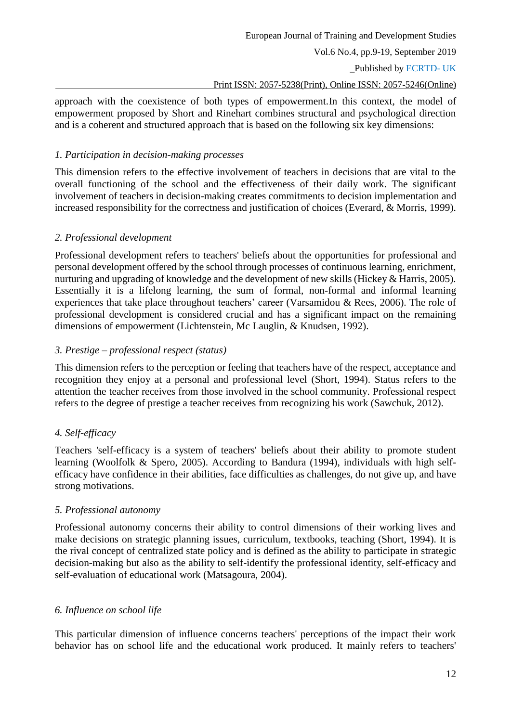# Print ISSN: 2057-5238(Print), Online ISSN: 2057-5246(Online)

approach with the coexistence of both types of empowerment.In this context, the model of empowerment proposed by Short and Rinehart combines structural and psychological direction and is a coherent and structured approach that is based on the following six key dimensions:

# *1. Participation in decision-making processes*

This dimension refers to the effective involvement of teachers in decisions that are vital to the overall functioning of the school and the effectiveness of their daily work. The significant involvement of teachers in decision-making creates commitments to decision implementation and increased responsibility for the correctness and justification of choices (Everard, & Morris, 1999).

# *2. Professional development*

Professional development refers to teachers' beliefs about the opportunities for professional and personal development offered by the school through processes of continuous learning, enrichment, nurturing and upgrading of knowledge and the development of new skills (Hickey & Harris, 2005). Essentially it is a lifelong learning, the sum of formal, non-formal and informal learning experiences that take place throughout teachers' career (Varsamidou & Rees, 2006). The role of professional development is considered crucial and has a significant impact on the remaining dimensions of empowerment (Lichtenstein, Mc Lauglin, & Knudsen, 1992).

# *3. Prestige – professional respect (status)*

This dimension refers to the perception or feeling that teachers have of the respect, acceptance and recognition they enjoy at a personal and professional level (Short, 1994). Status refers to the attention the teacher receives from those involved in the school community. Professional respect refers to the degree of prestige a teacher receives from recognizing his work (Sawchuk, 2012).

# *4. Self-efficacy*

Teachers 'self-efficacy is a system of teachers' beliefs about their ability to promote student learning (Woolfolk & Spero, 2005). According to Bandura (1994), individuals with high selfefficacy have confidence in their abilities, face difficulties as challenges, do not give up, and have strong motivations.

# *5. Professional autonomy*

Professional autonomy concerns their ability to control dimensions of their working lives and make decisions on strategic planning issues, curriculum, textbooks, teaching (Short, 1994). It is the rival concept of centralized state policy and is defined as the ability to participate in strategic decision-making but also as the ability to self-identify the professional identity, self-efficacy and self-evaluation of educational work (Matsagoura, 2004).

# *6. Influence on school life*

This particular dimension of influence concerns teachers' perceptions of the impact their work behavior has on school life and the educational work produced. It mainly refers to teachers'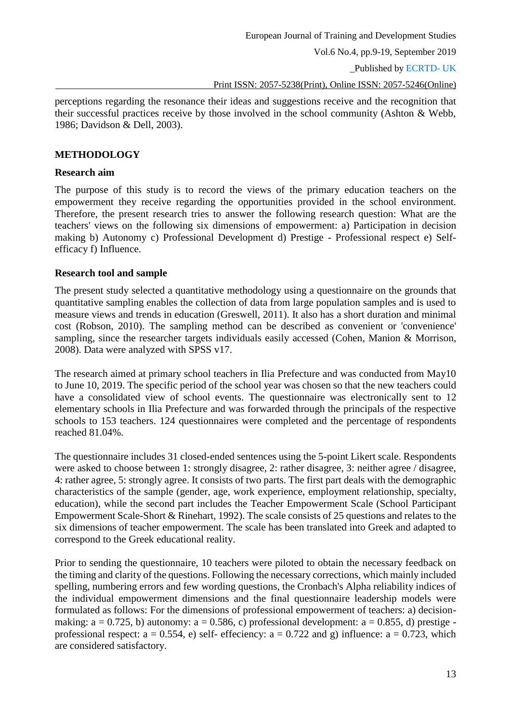\_Published by ECRTD- UK

Print ISSN: 2057-5238(Print), Online ISSN: 2057-5246(Online)

perceptions regarding the resonance their ideas and suggestions receive and the recognition that their successful practices receive by those involved in the school community (Ashton & Webb, 1986; Davidson & Dell, 2003).

### **METHODOLOGY**

#### **Research aim**

The purpose of this study is to record the views of the primary education teachers on the empowerment they receive regarding the opportunities provided in the school environment. Therefore, the present research tries to answer the following research question: What are the teachers' views on the following six dimensions of empowerment: a) Participation in decision making b) Autonomy c) Professional Development d) Prestige - Professional respect e) Selfefficacy f) Influence.

### **Research tool and sample**

The present study selected a quantitative methodology using a questionnaire on the grounds that quantitative sampling enables the collection of data from large population samples and is used to measure views and trends in education (Greswell, 2011). It also has a short duration and minimal cost (Robson, 2010). The sampling method can be described as convenient or 'convenience' sampling, since the researcher targets individuals easily accessed (Cohen, Manion & Morrison, 2008). Data were analyzed with SPSS v17.

The research aimed at primary school teachers in Ilia Prefecture and was conducted from May10 to June 10, 2019. The specific period of the school year was chosen so that the new teachers could have a consolidated view of school events. The questionnaire was electronically sent to 12 elementary schools in Ilia Prefecture and was forwarded through the principals of the respective schools to 153 teachers. 124 questionnaires were completed and the percentage of respondents reached 81.04%.

The questionnaire includes 31 closed-ended sentences using the 5-point Likert scale. Respondents were asked to choose between 1: strongly disagree, 2: rather disagree, 3: neither agree / disagree, 4: rather agree, 5: strongly agree. It consists of two parts. The first part deals with the demographic characteristics of the sample (gender, age, work experience, employment relationship, specialty, education), while the second part includes the Teacher Empowerment Scale (School Participant Empowerment Scale-Short & Rinehart, 1992). The scale consists of 25 questions and relates to the six dimensions of teacher empowerment. The scale has been translated into Greek and adapted to correspond to the Greek educational reality.

Prior to sending the questionnaire, 10 teachers were piloted to obtain the necessary feedback on the timing and clarity of the questions. Following the necessary corrections, which mainly included spelling, numbering errors and few wording questions, the Cronbach's Alpha reliability indices of the individual empowerment dimensions and the final questionnaire leadership models were formulated as follows: For the dimensions of professional empowerment of teachers: a) decisionmaking:  $a = 0.725$ , b) autonomy:  $a = 0.586$ , c) professional development:  $a = 0.855$ , d) prestige professional respect:  $a = 0.554$ , e) self- effeciency:  $a = 0.722$  and g) influence:  $a = 0.723$ , which are considered satisfactory.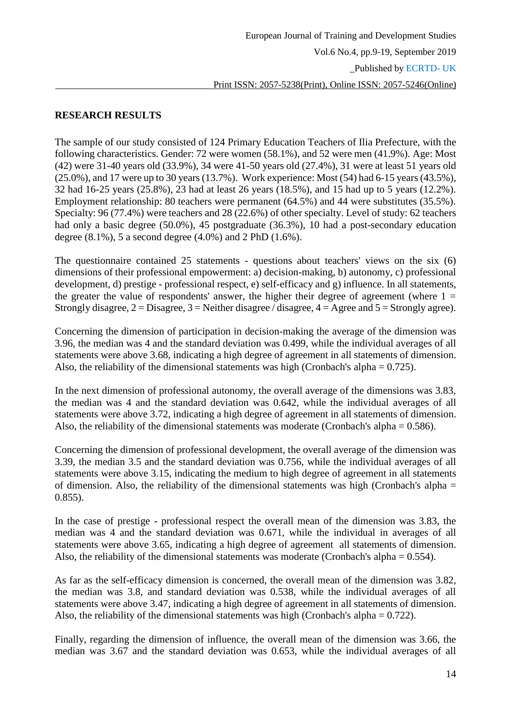# **RESEARCH RESULTS**

The sample of our study consisted of 124 Primary Education Teachers of Ilia Prefecture, with the following characteristics. Gender: 72 were women (58.1%), and 52 were men (41.9%). Age: Most (42) were 31-40 years old (33.9%), 34 were 41-50 years old (27.4%), 31 were at least 51 years old (25.0%), and 17 were up to 30 years (13.7%). Work experience: Most (54) had 6-15 years (43.5%), 32 had 16-25 years (25.8%), 23 had at least 26 years (18.5%), and 15 had up to 5 years (12.2%). Employment relationship: 80 teachers were permanent (64.5%) and 44 were substitutes (35.5%). Specialty: 96 (77.4%) were teachers and 28 (22.6%) of other specialty. Level of study: 62 teachers had only a basic degree (50.0%), 45 postgraduate (36.3%), 10 had a post-secondary education degree (8.1%), 5 a second degree (4.0%) and 2 PhD (1.6%).

The questionnaire contained 25 statements - questions about teachers' views on the six (6) dimensions of their professional empowerment: a) decision-making, b) autonomy, c) professional development, d) prestige - professional respect, e) self-efficacy and g) influence. In all statements, the greater the value of respondents' answer, the higher their degree of agreement (where  $1 =$ Strongly disagree,  $2 = Disagree$ ,  $3 = Neither disagree$  / disagree,  $4 = Average$  and  $5 = Strongly$  agree).

Concerning the dimension of participation in decision-making the average of the dimension was 3.96, the median was 4 and the standard deviation was 0.499, while the individual averages of all statements were above 3.68, indicating a high degree of agreement in all statements of dimension. Also, the reliability of the dimensional statements was high (Cronbach's alpha  $= 0.725$ ).

In the next dimension of professional autonomy, the overall average of the dimensions was 3.83, the median was 4 and the standard deviation was 0.642, while the individual averages of all statements were above 3.72, indicating a high degree of agreement in all statements of dimension. Also, the reliability of the dimensional statements was moderate (Cronbach's alpha = 0.586).

Concerning the dimension of professional development, the overall average of the dimension was 3.39, the median 3.5 and the standard deviation was 0.756, while the individual averages of all statements were above 3.15, indicating the medium to high degree of agreement in all statements of dimension. Also, the reliability of the dimensional statements was high (Cronbach's alpha = 0.855).

In the case of prestige - professional respect the overall mean of the dimension was 3.83, the median was 4 and the standard deviation was 0.671, while the individual in averages of all statements were above 3.65, indicating a high degree of agreement all statements of dimension. Also, the reliability of the dimensional statements was moderate (Cronbach's alpha = 0.554).

As far as the self-efficacy dimension is concerned, the overall mean of the dimension was 3.82, the median was 3.8, and standard deviation was 0.538, while the individual averages of all statements were above 3.47, indicating a high degree of agreement in all statements of dimension. Also, the reliability of the dimensional statements was high (Cronbach's alpha  $= 0.722$ ).

Finally, regarding the dimension of influence, the overall mean of the dimension was 3.66, the median was 3.67 and the standard deviation was 0.653, while the individual averages of all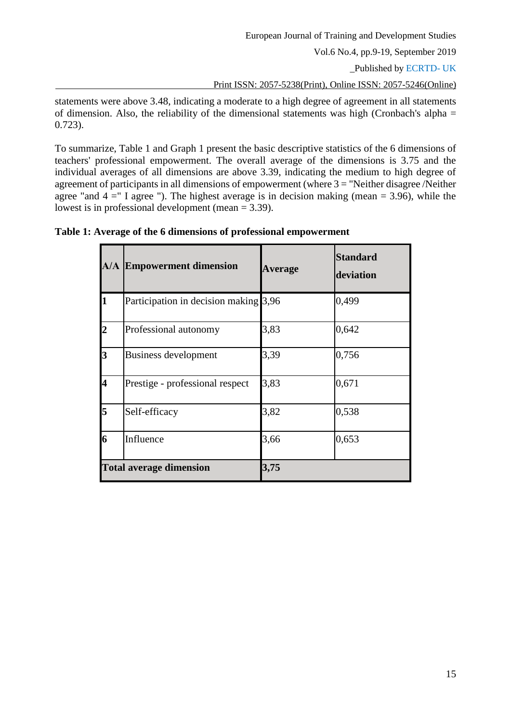statements were above 3.48, indicating a moderate to a high degree of agreement in all statements of dimension. Also, the reliability of the dimensional statements was high (Cronbach's alpha = 0.723).

To summarize, Table 1 and Graph 1 present the basic descriptive statistics of the 6 dimensions of teachers' professional empowerment. The overall average of the dimensions is 3.75 and the individual averages of all dimensions are above 3.39, indicating the medium to high degree of agreement of participants in all dimensions of empowerment (where  $3 =$  "Neither disagree /Neither agree "and  $4 =$ " I agree "). The highest average is in decision making (mean = 3.96), while the lowest is in professional development (mean = 3.39).

|                                | <b>A/A Empowerment dimension</b>      | <b>Average</b> | <b>Standard</b><br>deviation |
|--------------------------------|---------------------------------------|----------------|------------------------------|
|                                | Participation in decision making 3,96 |                | 0,499                        |
|                                | Professional autonomy                 | 3,83           | 0,642                        |
| 3                              | <b>Business development</b>           | 3,39           | 0,756                        |
| 4                              | Prestige - professional respect       | 3,83           | 0,671                        |
| 5                              | Self-efficacy                         | 3,82           | 0,538                        |
| 6                              | Influence                             | 3,66           | 0,653                        |
| <b>Total average dimension</b> |                                       | 3,75           |                              |

**Table 1: Average of the 6 dimensions of professional empowerment**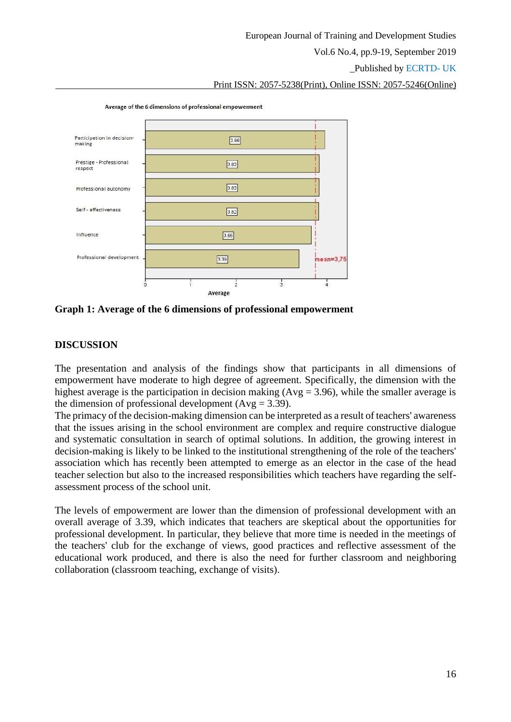\_Published by ECRTD- UK

Print ISSN: 2057-5238(Print), Online ISSN: 2057-5246(Online)



Average of the 6 dimensions of professional empowerment

**Graph 1: Average of the 6 dimensions of professional empowerment**

#### **DISCUSSION**

The presentation and analysis of the findings show that participants in all dimensions of empowerment have moderate to high degree of agreement. Specifically, the dimension with the highest average is the participation in decision making  $(Avg = 3.96)$ , while the smaller average is the dimension of professional development ( $Avg = 3.39$ ).

The primacy of the decision-making dimension can be interpreted as a result of teachers' awareness that the issues arising in the school environment are complex and require constructive dialogue and systematic consultation in search of optimal solutions. In addition, the growing interest in decision-making is likely to be linked to the institutional strengthening of the role of the teachers' association which has recently been attempted to emerge as an elector in the case of the head teacher selection but also to the increased responsibilities which teachers have regarding the selfassessment process of the school unit.

The levels of empowerment are lower than the dimension of professional development with an overall average of 3.39, which indicates that teachers are skeptical about the opportunities for professional development. In particular, they believe that more time is needed in the meetings of the teachers' club for the exchange of views, good practices and reflective assessment of the educational work produced, and there is also the need for further classroom and neighboring collaboration (classroom teaching, exchange of visits).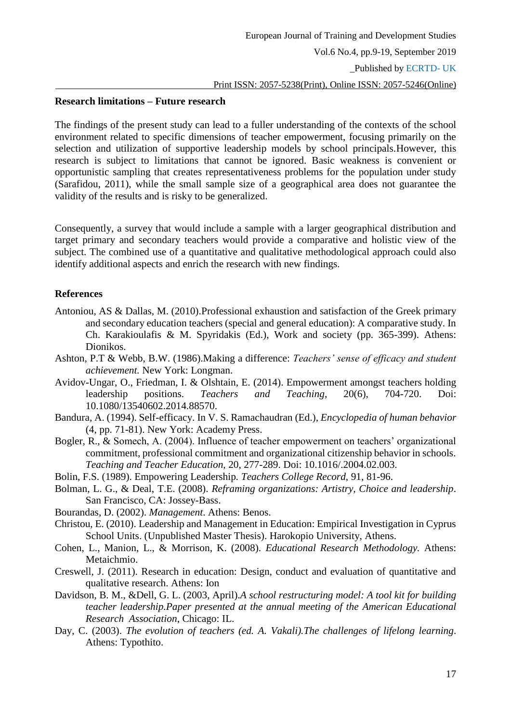#### **Research limitations – Future research**

The findings of the present study can lead to a fuller understanding of the contexts of the school environment related to specific dimensions of teacher empowerment, focusing primarily on the selection and utilization of supportive leadership models by school principals.However, this research is subject to limitations that cannot be ignored. Basic weakness is convenient or opportunistic sampling that creates representativeness problems for the population under study (Sarafidou, 2011), while the small sample size of a geographical area does not guarantee the validity of the results and is risky to be generalized.

Consequently, a survey that would include a sample with a larger geographical distribution and target primary and secondary teachers would provide a comparative and holistic view of the subject. The combined use of a quantitative and qualitative methodological approach could also identify additional aspects and enrich the research with new findings.

### **References**

- Antoniou, AS & Dallas, M. (2010).Professional exhaustion and satisfaction of the Greek primary and secondary education teachers (special and general education): A comparative study. In Ch. Karakioulafis & M. Spyridakis (Ed.), Work and society (pp. 365-399). Athens: Dionikos.
- Ashton, P.T & Webb, B.W. (1986).Making a difference: *Teachers' sense of efficacy and student achievement.* New York: Longman.
- Avidov-Ungar, O., Friedman, I. & Olshtain, E. (2014). Empowerment amongst teachers holding leadership positions. *Teachers and Teaching*, 20(6), 704-720. Doi: 10.1080/13540602.2014.88570.
- Bandura, A. (1994). Self-efficacy. In V. S. Ramachaudran (Ed.), *Encyclopedia of human behavior*  (4, pp. 71-81). New York: Academy Press.
- Bogler, R., & Somech, A. (2004). Influence of teacher empowerment on teachers' organizational commitment, professional commitment and organizational citizenship behavior in schools. *Teaching and Teacher Education,* 20, 277-289. Doi: 10.1016/.2004.02.003.
- Bolin, F.S. (1989). Empowering Leadership*. Teachers College Record,* 91, 81-96.
- Bolman, L. G., & Deal, T.E. (2008). *Reframing organizations: Artistry, Choice and leadership*. San Francisco, CA: Jossey-Bass.
- Bourandas, D. (2002). *Management*. Athens: Benos.
- Christou, E. (2010). Leadership and Management in Education: Empirical Investigation in Cyprus School Units. (Unpublished Master Thesis). Harokopio University, Athens.
- Cohen, L., Manion, L., & Morrison, K. (2008). *Educational Research Methodology.* Athens: Metaichmio.
- Creswell, J. (2011). Research in education: Design, conduct and evaluation of quantitative and qualitative research. Athens: Ion
- Davidson, B. M., &Dell, G. L. (2003, April).*A school restructuring model: A tool kit for building teacher leadership.Paper presented at the annual meeting of the American Educational Research Association*, Chicago: IL.
- Day, C. (2003). *The evolution of teachers (ed. A. Vakali).The challenges of lifelong learning*. Athens: Typothito.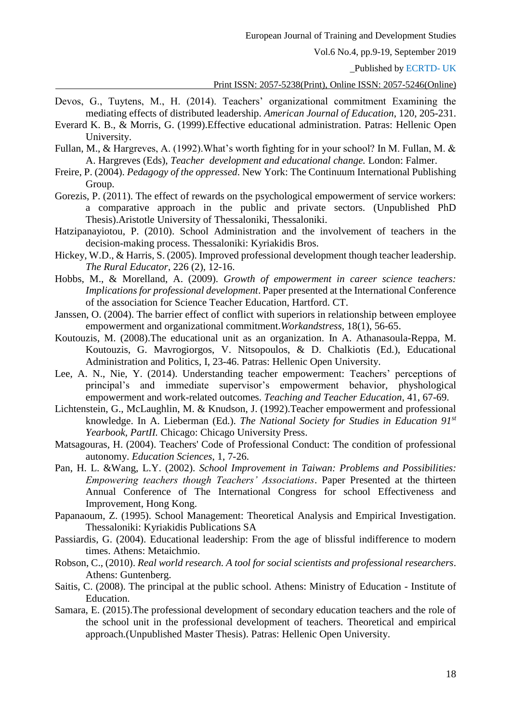\_Published by ECRTD- UK

Print ISSN: 2057-5238(Print), Online ISSN: 2057-5246(Online)

- Devos, G., Tuytens, M., H. (2014). Teachers' organizational commitment Examining the mediating effects of distributed leadership. *American Journal of Education*, 120, 205-231.
- Everard K. B., & Morris, G. (1999).Effective educational administration. Patras: Hellenic Open University.
- Fullan, M., & Hargreves, A. (1992).What's worth fighting for in your school? In M. Fullan, M. & A. Hargreves (Eds), *Teacher development and educational change.* London: Falmer.
- Freire, P. (2004). *Pedagogy of the oppressed*. New York: The Continuum International Publishing Group.
- Gorezis, P. (2011). The effect of rewards on the psychological empowerment of service workers: a comparative approach in the public and private sectors. (Unpublished PhD Thesis).Aristotle University of Thessaloniki, Thessaloniki.
- Hatzipanayiotou, P. (2010). School Administration and the involvement of teachers in the decision-making process. Thessaloniki: Kyriakidis Bros.
- Hickey, W.D., & Harris, S. (2005). Improved professional development though teacher leadership. *The Rural Educator*, 226 (2), 12-16.
- Hobbs, M., & Morelland, A. (2009). *Growth of empowerment in career science teachers: Implications for professional development*. Paper presented at the International Conference of the association for Science Teacher Education, Hartford. CT.
- Janssen, O. (2004). The barrier effect of conflict with superiors in relationship between employee empowerment and organizational commitment.*Workandstress,* 18(1), 56-65.
- Koutouzis, M. (2008).The educational unit as an organization. In A. Athanasoula-Reppa, M. Koutouzis, G. Mavrogiorgos, V. Nitsopoulos, & D. Chalkiotis (Ed.), Educational Administration and Politics, I, 23-46. Patras: Hellenic Open University.
- Lee, A. N., Nie, Y. (2014). Understanding teacher empowerment: Teachers' perceptions of principal's and immediate supervisor's empowerment behavior, physhological empowerment and work-related outcomes. *Teaching and Teacher Education,* 41, 67-69.
- Lichtenstein, G., McLaughlin, M. & Knudson, J. (1992).Teacher empowerment and professional knowledge. In A. Lieberman (Ed.). *The National Society for Studies in Education 91st Yearbook, PartII.* Chicago: Chicago University Press.
- Matsagouras, H. (2004). Teachers' Code of Professional Conduct: The condition of professional autonomy. *Education Sciences*, 1, 7-26.
- Pan, H. L. &Wang, L.Y. (2002). *School Improvement in Taiwan: Problems and Possibilities: Empowering teachers though Teachers' Associations*. Paper Presented at the thirteen Annual Conference of The International Congress for school Effectiveness and Improvement, Hong Kong.
- Papanaoum, Z. (1995). School Management: Theoretical Analysis and Empirical Investigation. Thessaloniki: Kyriakidis Publications SA
- Passiardis, G. (2004). Educational leadership: From the age of blissful indifference to modern times. Athens: Metaichmio.
- Robson, C., (2010). *Real world research. A tool for social scientists and professional researchers*. Athens: Guntenberg.
- Saitis, C. (2008). The principal at the public school. Athens: Ministry of Education Institute of Education.
- Samara, E. (2015).The professional development of secondary education teachers and the role of the school unit in the professional development of teachers. Theoretical and empirical approach.(Unpublished Master Thesis). Patras: Hellenic Open University.